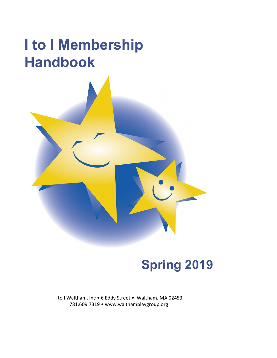# **I to I Membership Handbook**



# **Spring 2019**

I to I Waltham, Inc . 6 Eddy Street . Waltham, MA 02453 781.609.7319 • www.walthamplaygroup.org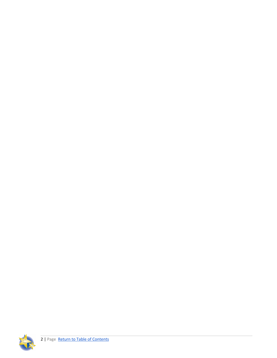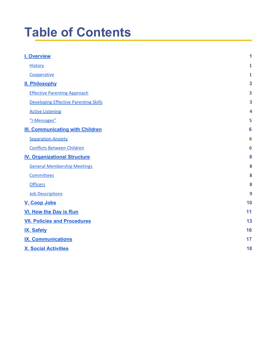# <span id="page-2-0"></span>**Table of Contents**

| <b>I. Overview</b>                           | $\mathbf 1$    |
|----------------------------------------------|----------------|
| <b>History</b>                               | $\mathbf{1}$   |
| Cooperative                                  | $\mathbf{1}$   |
| <b>II. Philosophy</b>                        | $\mathbf{3}$   |
| <b>Effective Parenting Approach</b>          | 3              |
| <b>Developing Effective Parenting Skills</b> | $\overline{3}$ |
| <b>Active Listening</b>                      | $\overline{4}$ |
| "I-Messages"                                 | 5              |
| <b>III. Communicating with Children</b>      | 6              |
| <b>Separation Anxiety</b>                    | 6              |
| <b>Conflicts Between Children</b>            | 6              |
| <b>IV. Organizational Structure</b>          | 8              |
| <b>General Membership Meetings</b>           | 8              |
| Committees                                   | 8              |
| <b>Officers</b>                              | 8              |
| <b>Job Descriptions</b>                      | 9              |
| V. Coop Jobs                                 | 10             |
| <b>VI. How the Day is Run</b>                | 11             |
| <b>VII. Policies and Procedures</b>          | 13             |
| IX. Safety                                   | 16             |
| <b>IX. Communications</b>                    | 17             |
| <b>X. Social Activities</b>                  | 18             |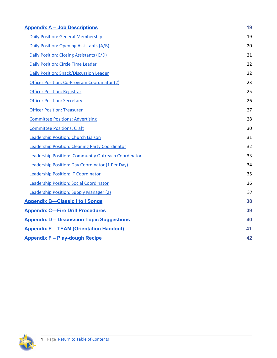| <b>Appendix A – Job Descriptions</b> |  |
|--------------------------------------|--|
|                                      |  |

| <b>Daily Position: General Membership</b>                  | 19                                                                                                                                                                                                                               |
|------------------------------------------------------------|----------------------------------------------------------------------------------------------------------------------------------------------------------------------------------------------------------------------------------|
| Daily Position: Opening Assistants (A/B)                   | 20                                                                                                                                                                                                                               |
| Daily Position: Closing Assistants (C/D)                   | 21                                                                                                                                                                                                                               |
| <b>Daily Position: Circle Time Leader</b>                  | 22                                                                                                                                                                                                                               |
| <b>Daily Position: Snack/Discussion Leader</b>             | 22                                                                                                                                                                                                                               |
| Officer Position: Co-Program Coordinator (2)               | 23                                                                                                                                                                                                                               |
| <b>Officer Position: Registrar</b>                         | 25                                                                                                                                                                                                                               |
| <b>Officer Position: Secretary</b>                         | 26                                                                                                                                                                                                                               |
| <b>Officer Position: Treasurer</b>                         | 27                                                                                                                                                                                                                               |
| <b>Committee Positions: Advertising</b>                    | 28                                                                                                                                                                                                                               |
| <b>Committee Positions: Craft</b>                          | 30                                                                                                                                                                                                                               |
| <b>Leadership Position: Church Liaison</b>                 | 31                                                                                                                                                                                                                               |
| <b>Leadership Position: Cleaning Party Coordinator</b>     | 32                                                                                                                                                                                                                               |
| <b>Leadership Position: Community Outreach Coordinator</b> | 33                                                                                                                                                                                                                               |
| Leadership Position: Day Coordinator (1 Per Day)           | 34                                                                                                                                                                                                                               |
| <b>Leadership Position: IT Coordinator</b>                 | 35                                                                                                                                                                                                                               |
| <b>Leadership Position: Social Coordinator</b>             | 36                                                                                                                                                                                                                               |
| <b>Leadership Position: Supply Manager (2)</b>             | 37                                                                                                                                                                                                                               |
|                                                            | 38                                                                                                                                                                                                                               |
|                                                            | 39                                                                                                                                                                                                                               |
|                                                            | 40                                                                                                                                                                                                                               |
|                                                            | 41                                                                                                                                                                                                                               |
|                                                            | 42                                                                                                                                                                                                                               |
|                                                            | <b>Appendix B-Classic I to I Songs</b><br><b>Appendix C-Fire Drill Procedures</b><br><b>Appendix D - Discussion Topic Suggestions</b><br><b>Appendix E - TEAM (Orientation Handout)</b><br><b>Appendix F - Play-dough Recipe</b> |

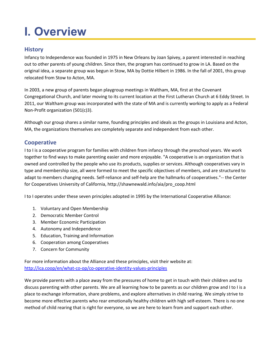# <span id="page-4-0"></span>**I. Overview**

# <span id="page-4-1"></span>**History**

Infancy to Independence was founded in 1975 in New Orleans by Joan Spivey, a parent interested in reaching out to other parents of young children. Since then, the program has continued to grow in LA. Based on the original idea, a separate group was begun in Stow, MA by Dottie Hilbert in 1986. In the fall of 2001, this group relocated from Stow to Acton, MA.

In 2003, a new group of parents began playgroup meetings in Waltham, MA, first at the Covenant Congregational Church, and later moving to its current location at the First Lutheran Church at 6 Eddy Street. In 2011, our Waltham group was incorporated with the state of MA and is currently working to apply as a Federal Non-Profit organization (501(c)3).

Although our group shares a similar name, founding principles and ideals as the groups in Louisiana and Acton, MA, the organizations themselves are completely separate and independent from each other.

# <span id="page-4-2"></span>**Cooperative**

I to I is a cooperative program for families with children from infancy through the preschool years. We work together to find ways to make parenting easier and more enjoyable. "A cooperative is an organization that is owned and controlled by the people who use its products, supplies or services. Although cooperatives vary in type and membership size, all were formed to meet the specific objectives of members, and are structured to adapt to members changing needs. Self-reliance and self-help are the hallmarks of cooperatives."-- the Center for Cooperatives University of California, [http://shawnewald.info/aia/pro\\_coop.html](http://shawnewald.info/aia/pro_coop.html)

I to I operates under these seven principles adopted in 1995 by the International Cooperative Alliance:

- 1. Voluntary and Open Membership
- 2. Democratic Member Control
- 3. Member Economic Participation
- 4. Autonomy and Independence
- 5. Education, Training and Information
- 6. Cooperation among Cooperatives
- 7. Concern for Community

For more information about the Alliance and these principles, visit their website at: <http://ica.coop/en/what-co-op/co-operative-identity-values-principles>

We provide parents with a place away from the pressures of home to get in touch with their children and to discuss parenting with other parents. We are all learning how to be parents as our children grow and I to I is a place to exchange information, share problems, and explore alternatives in child rearing. We simply strive to become more effective parents who rear emotionally healthy children with high self-esteem. There is no one method of child rearing that is right for everyone, so we are here to learn from and support each other.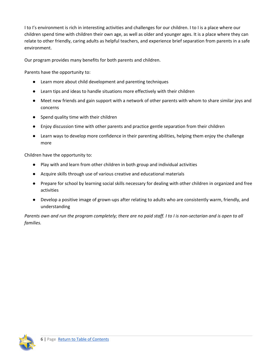I to I's environment is rich in interesting activities and challenges for our children. I to I is a place where our children spend time with children their own age, as well as older and younger ages. It is a place where they can relate to other friendly, caring adults as helpful teachers, and experience brief separation from parents in a safe environment.

Our program provides many benefits for both parents and children.

Parents have the opportunity to:

- Learn more about child development and parenting techniques
- Learn tips and ideas to handle situations more effectively with their children
- Meet new friends and gain support with a network of other parents with whom to share similar joys and concerns
- Spend quality time with their children
- Enjoy discussion time with other parents and practice gentle separation from their children
- Learn ways to develop more confidence in their parenting abilities, helping them enjoy the challenge more

Children have the opportunity to:

- Play with and learn from other children in both group and individual activities
- Acquire skills through use of various creative and educational materials
- Prepare for school by learning social skills necessary for dealing with other children in organized and free activities
- Develop a positive image of grown-ups after relating to adults who are consistently warm, friendly, and understanding

Parents own and run the program completely; there are no paid staff. I to I is non-sectarian and is open to all *families.*

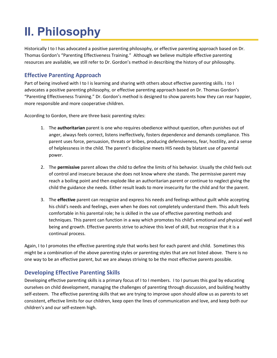# <span id="page-6-0"></span>**II. Philosophy**

Historically I to I has advocated a positive parenting philosophy, or effective parenting approach based on Dr. Thomas Gordon's "Parenting Effectiveness Training." Although we believe multiple effective parenting resources are available, we still refer to Dr. Gordon's method in describing the history of our philosophy.

# <span id="page-6-1"></span>**Effective Parenting Approach**

Part of being involved with I to I is learning and sharing with others about effective parenting skills. I to I advocates a positive parenting philosophy, or effective parenting approach based on Dr. Thomas Gordon's "Parenting Effectiveness Training." Dr. Gordon's method is designed to show parents how they can rear happier, more responsible and more cooperative children.

According to Gordon, there are three basic parenting styles:

- 1. The **authoritarian** parent is one who requires obedience without question, often punishes out of anger, always feels correct, listens ineffectively, fosters dependence and demands compliance. This parent uses force, persuasion, threats or bribes, producing defensiveness, fear, hostility, and a sense of helplessness in the child. The parent's discipline meets HIS needs by blatant use of parental power.
- 2. The **permissive** parent allows the child to define the limits of his behavior. Usually the child feels out of control and insecure because she does not know where she stands. The permissive parent may reach a boiling point and then explode like an authoritarian parent or continue to neglect giving the child the guidance she needs. Either result leads to more insecurity for the child and for the parent.
- 3. The **effective** parent can recognize and express his needs and feelings without guilt while accepting his child's needs and feelings, even when he does not completely understand them. This adult feels comfortable in his parental role; he is skilled in the use of effective parenting methods and techniques. This parent can function in a way which promotes his child's emotional and physical well being and growth. Effective parents strive to achieve this level of skill, but recognize that it is a continual process.

Again, I to I promotes the effective parenting style that works best for each parent and child. Sometimes this might be a combination of the above parenting styles or parenting styles that are not listed above. There is no one way to be an effective parent, but we are always striving to be the most effective parents possible.

# <span id="page-6-2"></span>**Developing Effective Parenting Skills**

Developing effective parenting skills is a primary focus of I to I members. I to I pursues this goal by educating ourselves on child development, managing the challenges of parenting through discussion, and building healthy self-esteem. The effective parenting skills that we are trying to improve upon should allow us as parents to set consistent, effective limits for our children, keep open the lines of communication and love, and keep both our children's and our self-esteem high.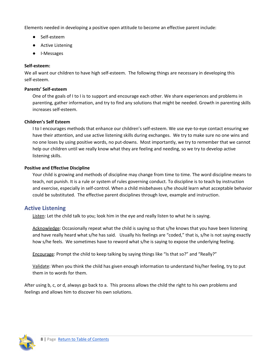Elements needed in developing a positive open attitude to become an effective parent include:

- Self-esteem
- Active Listening
- I-Messages

# **Self-esteem:**

We all want our children to have high self-esteem. The following things are necessary in developing this self-esteem.

# **Parents' Self-esteem**

One of the goals of I to I is to support and encourage each other. We share experiences and problems in parenting, gather information, and try to find any solutions that might be needed. Growth in parenting skills increases self-esteem.

# **Children's Self Esteem**

I to I encourages methods that enhance our children's self-esteem. We use eye-to-eye contact ensuring we have their attention, and use active listening skills during exchanges. We try to make sure no one wins and no one loses by using positive words, no put-downs. Most importantly, we try to remember that we cannot help our children until we really know what they are feeling and needing, so we try to develop active listening skills.

# **Positive and Effective Discipline**

Your child is growing and methods of discipline may change from time to time. The word discipline means to teach, not punish. It is a rule or system of rules governing conduct. To discipline is to teach by instruction and exercise, especially in self-control. When a child misbehaves s/he should learn what acceptable behavior could be substituted. The effective parent disciplines through love, example and instruction.

# <span id="page-7-0"></span>**Active Listening**

Listen: Let the child talk to you; look him in the eye and really listen to what he is saying.

Acknowledge: Occasionally repeat what the child is saying so that s/he knows that you have been listening and have really heard what s/he has said. Usually his feelings are "coded," that is, s/he is not saying exactly how s/he feels. We sometimes have to reword what s/he is saying to expose the underlying feeling.

Encourage: Prompt the child to keep talking by saying things like "Is that so?" and "Really?"

Validate: When you think the child has given enough information to understand his/her feeling, try to put them in to words for them.

After using b, c, or d, always go back to a. This process allows the child the right to his own problems and feelings and allows him to discover his own solutions.

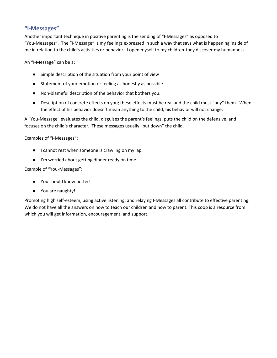# <span id="page-8-0"></span>**"I-Messages"**

Another important technique in positive parenting is the sending of "I-Messages" as opposed to "You-Messages". The "I-Message" is my feelings expressed in such a way that says what is happening inside of me in relation to the child's activities or behavior. I open myself to my children-they discover my humanness.

An "I-Message" can be a:

- Simple description of the situation from your point of view
- Statement of your emotion or feeling as honestly as possible
- Non-blameful description of the behavior that bothers you.
- Description of concrete effects on you; these effects must be real and the child must "buy" them. When the effect of his behavior doesn't mean anything to the child, his behavior will not change.

A "You-Message" evaluates the child, disguises the parent's feelings, puts the child on the defensive, and focuses on the child's character. These messages usually "put down" the child.

Examples of "I-Messages":

- I cannot rest when someone is crawling on my lap.
- I'm worried about getting dinner ready on time

Example of "You-Messages":

- You should know better!
- You are naughty!

Promoting high self-esteem, using active listening, and relaying I-Messages all contribute to effective parenting. We do not have all the answers on how to teach our children and how to parent. This coop is a resource from which you will get information, encouragement, and support.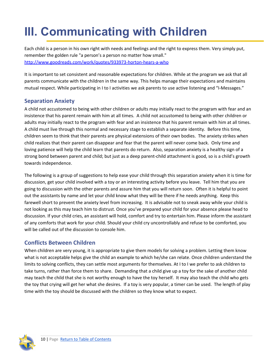# <span id="page-9-0"></span>**III. Communicating with Children**

Each child is a person in his own right with needs and feelings and the right to express them. Very simply put, remember the golden rule "a person's a person no matter how small." <http://www.goodreads.com/work/quotes/933973-horton-hears-a-who>

It is important to set consistent and reasonable expectations for children. While at the program we ask that all parents communicate with the children in the same way. This helps manage their expectations and maintains mutual respect. While participating in I to I activities we ask parents to use active listening and "I-Messages."

# <span id="page-9-1"></span>**Separation Anxiety**

A child not accustomed to being with other children or adults may initially react to the program with fear and an insistence that his parent remain with him at all times. A child not accustomed to being with other children or adults may initially react to the program with fear and an insistence that his parent remain with him at all times. A child must live through this normal and necessary stage to establish a separate identity. Before this time, children seem to think that their parents are physical extensions of their own bodies. The anxiety strikes when child realizes that their parent can disappear and fear that the parent will never come back. Only time and loving patience will help the child learn that parents do return. Also, separation anxiety is a healthy sign of a strong bond between parent and child; but just as a deep parent-child attachment is good, so is a child's growth towards independence.

The following is a group of suggestions to help ease your child through this separation anxiety when it is time for discussion, get your child involved with a toy or an interesting activity before you leave. Tell him that you are going to discussion with the other parents and assure him that you will return soon. Often it is helpful to point out the assistants by name and let your child know what they will be there if he needs anything. Keep this farewell short to prevent the anxiety level from increasing. It is advisable not to sneak away while your child is not looking as this may teach him to distrust. Once you've prepared your child for your absence please head to discussion. If your child cries, an assistant will hold, comfort and try to entertain him. Please inform the assistant of any comforts that work for your child. Should your child cry uncontrollably and refuse to be comforted, you will be called out of the discussion to console him.

# <span id="page-9-2"></span>**Conflicts Between Children**

When children are very young, it is appropriate to give them models for solving a problem. Letting them know what is not acceptable helps give the child an example to which he/she can relate. Once children understand the limits to solving conflicts, they can settle most arguments for themselves. At I to I we prefer to ask children to take turns, rather than force them to share. Demanding that a child give up a toy for the sake of another child may teach the child that she is not worthy enough to have the toy herself. It may also teach the child who gets the toy that crying will get her what she desires. If a toy is very popular, a timer can be used. The length of play time with the toy should be discussed with the children so they know what to expect.

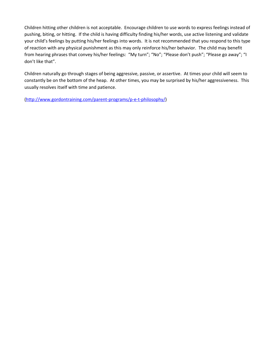Children hitting other children is not acceptable. Encourage children to use words to express feelings instead of pushing, biting, or hitting. If the child is having difficulty finding his/her words, use active listening and validate your child's feelings by putting his/her feelings into words. It is not recommended that you respond to this type of reaction with any physical punishment as this may only reinforce his/her behavior. The child may benefit from hearing phrases that convey his/her feelings: "My turn"; "No"; "Please don't push"; "Please go away"; "I don't like that".

Children naturally go through stages of being aggressive, passive, or assertive. At times your child will seem to constantly be on the bottom of the heap. At other times, you may be surprised by his/her aggressiveness. This usually resolves itself with time and patience.

[\(http://www.gordontraining.com/parent-programs/p-e-t-philosophy/](http://www.gordontraining.com/parent-programs/p-e-t-philosophy/))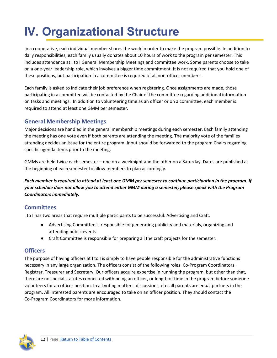# <span id="page-11-0"></span>**IV. Organizational Structure**

In a cooperative, each individual member shares the work in order to make the program possible. In addition to daily responsibilities, each family usually donates about 10 hours of work to the program per semester. This includes attendance at I to I General Membership Meetings and committee work. Some parents choose to take on a one-year leadership role, which involves a bigger time commitment. It is not required that you hold one of these positions, but participation in a committee is required of all non-officer members.

Each family is asked to indicate their job preference when registering. Once assignments are made, those participating in a committee will be contacted by the Chair of the committee regarding additional information on tasks and meetings. In addition to volunteering time as an officer or on a committee, each member is required to attend at least one GMM per semester.

# <span id="page-11-1"></span>**General Membership Meetings**

Major decisions are handled in the general membership meetings during each semester. Each family attending the meeting has one vote even if both parents are attending the meeting. The majority vote of the families attending decides an issue for the entire program. Input should be forwarded to the program Chairs regarding specific agenda items prior to the meeting.

GMMs are held twice each semester – one on a weeknight and the other on a Saturday. Dates are published at the beginning of each semester to allow members to plan accordingly.

Each member is required to attend at least one GMM per semester to continue participation in the program. If your schedule does not allow you to attend either GMM during a semester, please speak with the Program *Coordinators immediately.*

# <span id="page-11-2"></span>**Committees**

I to I has two areas that require multiple participants to be successful: Advertising and Craft.

- Advertising Committee is responsible for generating publicity and materials, organizing and attending public events.
- Craft Committee is responsible for preparing all the craft projects for the semester.

# <span id="page-11-3"></span>**Officers**

The purpose of having officers at I to I is simply to have people responsible for the administrative functions necessary in any large organization. The officers consist of the following roles: Co-Program Coordinators, Registrar, Treasurer and Secretary. Our officers acquire expertise in running the program, but other than that, there are no special statutes connected with being an officer, or length of time in the program before someone volunteers for an officer position. In all voting matters, discussions, etc. all parents are equal partners in the program. All interested parents are encouraged to take on an officer position. They should contact the Co-Program Coordinators for more information.

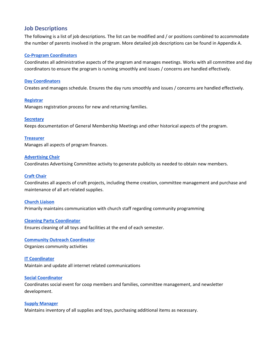# <span id="page-12-0"></span>**Job Descriptions**

The following is a list of job descriptions. The list can be modified and / or positions combined to accommodate the number of parents involved in the program. More detailed job descriptions can be found in Appendix A.

#### **Co-Program [Coordinators](#page-29-0)**

Coordinates all administrative aspects of the program and manages meetings. Works with all committee and day coordinators to ensure the program is running smoothly and issues / concerns are handled effectively.

#### **Day [Coordinators](#page-40-0)**

Creates and manages schedule. Ensures the day runs smoothly and issues / concerns are handled effectively.

#### **[Registrar](#page-31-0)**

Manages registration process for new and returning families.

#### **[Secretary](#page-32-0)**

Keeps documentation of General Membership Meetings and other historical aspects of the program.

#### **[Treasurer](#page-33-0)**

Manages all aspects of program finances.

#### **[Advertising](#page-34-0) Chair**

Coordinates Advertising Committee activity to generate publicity as needed to obtain new members.

#### **Craft [Chair](#page-36-0)**

Coordinates all aspects of craft projects, including theme creation, committee management and purchase and maintenance of all art-related supplies.

#### **[Church](#page-37-0) Liaison**

Primarily maintains communication with church staff regarding community programming

#### **Cleaning Party [Coordinator](#page-38-0)**

Ensures cleaning of all toys and facilities at the end of each semester.

**Community Outreach [Coordinator](#page-39-0)** Organizes community activities

**IT [Coordinator](#page-41-0)** Maintain and update all internet related communications

#### **Social [Coordinator](#page-42-0)**

Coordinates social event for coop members and families, committee management, and newsletter development.

**Supply [Manager](#page-43-0)** Maintains inventory of all supplies and toys, purchasing additional items as necessary.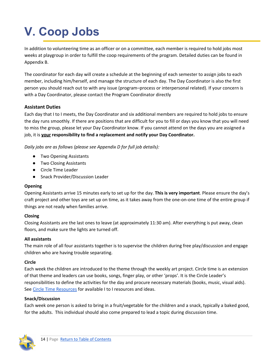# <span id="page-13-0"></span>**V. Coop Jobs**

In addition to volunteering time as an officer or on a committee, each member is required to hold jobs most weeks at playgroup in order to fulfill the coop requirements of the program. Detailed duties can be found in Appendix B.

The coordinator for each day will create a schedule at the beginning of each semester to assign jobs to each member, including him/herself, and manage the structure of each day. The Day Coordinator is also the first person you should reach out to with any issue (program–process or interpersonal related). If your concern is with a Day Coordinator, please contact the Program Coordinator directly

# **Assistant Duties**

Each day that I to I meets, the Day Coordinator and six additional members are required to hold jobs to ensure the day runs smoothly. If there are positions that are difficult for you to fill or days you know that you will need to miss the group, please let your Day Coordinator know. If you cannot attend on the days you are assigned a job, it is **your responsibility to find a replacement and notify your Day Coordinator.**

*Daily jobs are as follows (please see Appendix D for full job details):*

- Two Opening Assistants
- Two Closing Assistants
- Circle Time Leader
- Snack Provider/Discussion Leader

# **Opening**

Opening Assistants arrive 15 minutes early to set up for the day. **This is very important**. Please ensure the day's craft project and other toys are set up on time, as it takes away from the one-on-one time of the entire group if things are not ready when families arrive.

# **Closing**

Closing Assistants are the last ones to leave (at approximately 11:30 am). After everything is put away, clean floors, and make sure the lights are turned off.

## **All assistants**

The main role of all four assistants together is to supervise the children during free play/discussion and engage children who are having trouble separating.

## **Circle**

Each week the children are introduced to the theme through the weekly art project. Circle time is an extension of that theme and leaders can use books, songs, finger play, or other 'props'. It is the Circle Leader's responsibilities to define the activities for the day and procure necessary materials (books, music, visual aids). See Circle Time [Resources](https://docs.google.com/document/d/1ymiSs3SdHJBGi4lYFBeHrztLsPnqstX6EMIEzbDdwis/edit?usp=sharing) for available I to I resources and ideas.

## **Snack/Discussion**

Each week one person is asked to bring in a fruit/vegetable for the children and a snack, typically a baked good, for the adults. This individual should also come prepared to lead a topic during discussion time.

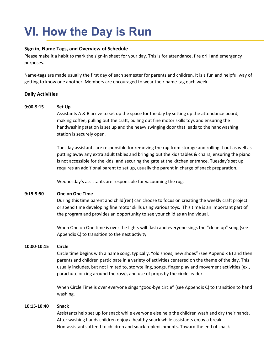# <span id="page-14-0"></span>**VI. How the Day is Run**

### **Sign in, Name Tags, and Overview of Schedule**

Please make it a habit to mark the sign-in sheet for your day. This is for attendance, fire drill and emergency purposes.

Name-tags are made usually the first day of each semester for parents and children. It is a fun and helpful way of getting to know one another. Members are encouraged to wear their name-tag each week.

### **Daily Activities**

#### **9:00-9:15 Set Up**

Assistants A & B arrive to set up the space for the day by setting up the attendance board, making coffee, pulling out the craft, pulling out fine motor skills toys and ensuring the handwashing station is set up and the heavy swinging door that leads to the handwashing station is securely open.

Tuesday assistants are responsible for removing the rug from storage and rolling it out as well as putting away any extra adult tables and bringing out the kids tables & chairs, ensuring the piano is not accessible for the kids, and securing the gate at the kitchen entrance. Tuesday's set up requires an additional parent to set up, usually the parent in charge of snack preparation.

Wednesday's assistants are responsible for vacuuming the rug.

#### **9:15-9:50 One on One Time**

During this time parent and child(ren) can choose to focus on creating the weekly craft project or spend time developing fine motor skills using various toys. This time is an important part of the program and provides an opportunity to see your child as an individual.

When One on One time is over the lights will flash and everyone sings the "clean up" song (see Appendix C) to transition to the next activity.

#### **10:00-10:15 Circle**

Circle time begins with a name song, typically, "old shoes, new shoes" (see Appendix B) and then parents and children participate in a variety of activities centered on the theme of the day. This usually includes, but not limited to, storytelling, songs, finger play and movement activities (ex., parachute or ring around the rosy), and use of props by the circle leader.

When Circle Time is over everyone sings "good-bye circle" (see Appendix C) to transition to hand washing.

#### **10:15-10:40 Snack**

Assistants help set up for snack while everyone else help the children wash and dry their hands. After washing hands children enjoy a healthy snack while assistants enjoy a break. Non-assistants attend to children and snack replenishments. Toward the end of snack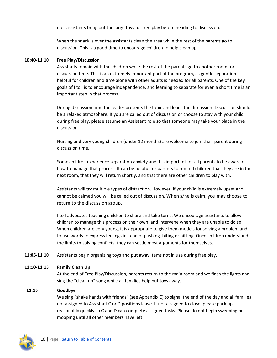non-assistants bring out the large toys for free play before heading to discussion.

When the snack is over the assistants clean the area while the rest of the parents go to discussion. This is a good time to encourage children to help clean up.

### **10:40-11:10 Free Play/Discussion**

Assistants remain with the children while the rest of the parents go to another room for discussion time. This is an extremely important part of the program, as gentle separation is helpful for children and time alone with other adults is needed for all parents. One of the key goals of I to I is to encourage independence, and learning to separate for even a short time is an important step in that process.

During discussion time the leader presents the topic and leads the discussion. Discussion should be a relaxed atmosphere. If you are called out of discussion or choose to stay with your child during free play, please assume an Assistant role so that someone may take your place in the discussion.

Nursing and very young children (under 12 months) are welcome to join their parent during discussion time.

Some children experience separation anxiety and it is important for all parents to be aware of how to manage that process. It can be helpful for parents to remind children that they are in the next room, that they will return shortly, and that there are other children to play with.

Assistants will try multiple types of distraction. However, if your child is extremely upset and cannot be calmed you will be called out of discussion. When s/he is calm, you may choose to return to the discussion group.

I to I advocates teaching children to share and take turns. We encourage assistants to allow children to manage this process on their own, and intervene when they are unable to do so. When children are very young, it is appropriate to give them models for solving a problem and to use words to express feelings instead of pushing, biting or hitting. Once children understand the limits to solving conflicts, they can settle most arguments for themselves.

**11:05-11:10** Assistants begin organizing toys and put away items not in use during free play.

## **11:10-11:15 Family Clean Up**

At the end of Free Play/Discussion, parents return to the main room and we flash the lights and sing the "clean up" song while all families help put toys away.

## **11:15 Goodbye**

We sing "shake hands with friends" (see Appendix C) to signal the end of the day and all families not assigned to Assistant C or D positions leave. If not assigned to close, please pack up reasonably quickly so C and D can complete assigned tasks. Please do not begin sweeping or mopping until all other members have left.

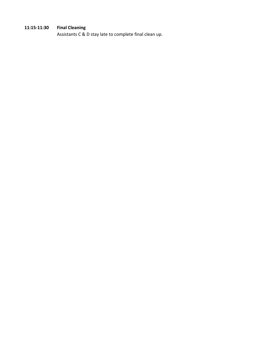#### **1 1 : 1 5 - 1 1 : 3 0 Final Cleaning**

Assistants C & D stay late to complete final clean up.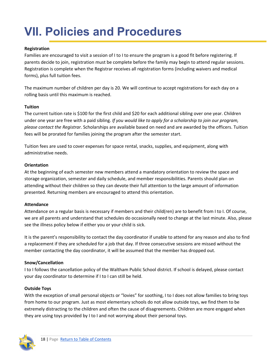# <span id="page-17-0"></span>**VII. Policies and Procedures**

### **Registration**

Families are encouraged to visit a session of I to I to ensure the program is a good fit before registering. If parents decide to join, registration must be complete before the family may begin to attend regular sessions. Registration is complete when the Registrar receives all registration forms (including waivers and medical forms), plus full tuition fees.

The maximum number of children per day is 20. We will continue to accept registrations for each day on a rolling basis until this maximum is reached.

### **Tuition**

The current tuition rate is \$100 for the first child and \$20 for each additional sibling over one year. Children under one year are free with a paid sibling. *If you would like to apply for a scholarship to join our program, please contact the Registrar.* Scholarships are available based on need and are awarded by the officers. Tuition fees will be prorated for families joining the program after the semester start.

Tuition fees are used to cover expenses for space rental, snacks, supplies, and equipment, along with administrative needs.

#### **Orientation**

At the beginning of each semester new members attend a mandatory orientation to review the space and storage organization, semester and daily schedule, and member responsibilities. Parents should plan on attending without their children so they can devote their full attention to the large amount of information presented. Returning members are encouraged to attend this orientation.

#### **Attendance**

Attendance on a regular basis is necessary if members and their child(ren) are to benefit from I to I. Of course, we are all parents and understand that schedules do occasionally need to change at the last minute. Also, please see the illness policy below if either you or your child is sick.

It is the parent's responsibility to contact the day coordinator if unable to attend for any reason and also to find a replacement if they are scheduled for a job that day. If three consecutive sessions are missed without the member contacting the day coordinator, it will be assumed that the member has dropped out.

#### **Snow/Cancellation**

I to I follows the cancellation policy of the Waltham Public School district. If school is delayed, please contact your day coordinator to determine if I to I can still be held.

## **Outside Toys**

With the exception of small personal objects or "lovies" for soothing, I to I does not allow families to bring toys from home to our program. Just as most elementary schools do not allow outside toys, we find them to be extremely distracting to the children and often the cause of disagreements. Children are more engaged when they are using toys provided by I to I and not worrying about their personal toys.

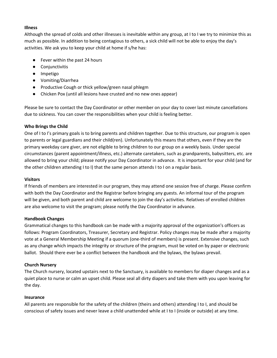#### **Illness**

Although the spread of colds and other illnesses is inevitable within any group, at I to I we try to minimize this as much as possible. In addition to being contagious to others, a sick child will not be able to enjoy the day's activities. We ask you to keep your child at home if s/he has:

- Fever within the past 24 hours
- Conjunctivitis
- Impetigo
- Vomiting/Diarrhea
- Productive Cough or thick yellow/green nasal phlegm
- Chicken Pox (until all lesions have crusted and no new ones appear)

Please be sure to contact the Day Coordinator or other member on your day to cover last minute cancellations due to sickness. You can cover the responsibilities when your child is feeling better.

### **Who Brings the Child**

One of I to I's primary goals is to bring parents and children together. Due to this structure, our program is open to parents or legal guardians and their child(ren). Unfortunately this means that others, even if they are the primary weekday care giver, are not eligible to bring children to our group on a weekly basis. Under special circumstances (parent appointment/illness, etc.) alternate caretakers, such as grandparents, babysitters, etc. are allowed to bring your child; please notify your Day Coordinator in advance. It is important for your child (and for the other children attending I to I) that the same person attends I to I on a regular basis.

#### **Visitors**

If friends of members are interested in our program, they may attend one session free of charge. Please confirm with both the Day Coordinator and the Registrar before bringing any guests. An informal tour of the program will be given, and both parent and child are welcome to join the day's activities. Relatives of enrolled children are also welcome to visit the program; please notify the Day Coordinator in advance.

#### **Handbook Changes**

Grammatical changes to this handbook can be made with a majority approval of the organization's officers as follows: Program Coordinators, Treasurer, Secretary and Registrar. Policy changes may be made after a majority vote at a General Membership Meeting if a quorum (one-third of members) is present. Extensive changes, such as any change which impacts the integrity or structure of the program, must be voted on by paper or electronic ballot. Should there ever be a conflict between the handbook and the bylaws, the bylaws prevail.

#### **Church Nursery**

The Church nursery, located upstairs next to the Sanctuary, is available to members for diaper changes and as a quiet place to nurse or calm an upset child. Please seal all dirty diapers and take them with you upon leaving for the day.

#### **Insurance**

All parents are responsible for the safety of the children (theirs and others) attending I to I, and should be conscious of safety issues and never leave a child unattended while at I to I (inside or outside) at any time.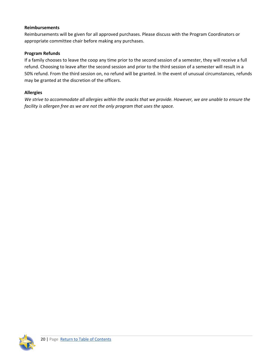## **Reimbursements**

Reimbursements will be given for all approved purchases. Please discuss with the Program Coordinators or appropriate committee chair before making any purchases.

### **Program Refunds**

If a family chooses to leave the coop any time prior to the second session of a semester, they will receive a full refund. Choosing to leave after the second session and prior to the third session of a semester will result in a 50% refund. From the third session on, no refund will be granted. In the event of unusual circumstances, refunds may be granted at the discretion of the officers.

### **Allergies**

We strive to accommodate all allergies within the snacks that we provide. However, we are unable to ensure the *facility is allergen free as we are not the only program that uses the space.*

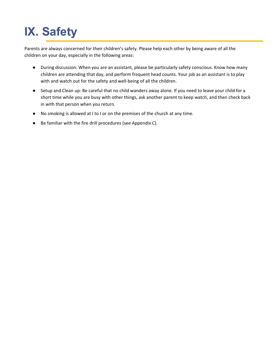# <span id="page-20-0"></span>**IX. Safety**

Parents are always concerned for their children's safety. Please help each other by being aware of all the children on your day, especially in the following areas:

- During discussion: When you are an assistant, please be particularly safety conscious. Know how many children are attending that day, and perform frequent head counts. Your job as an assistant is to play with and watch out for the safety and well-being of all the children.
- Setup and Clean up: Be careful that no child wanders away alone. If you need to leave your child for a short time while you are busy with other things, ask another parent to keep watch, and then check back in with that person when you return.
- No smoking is allowed at I to I or on the premises of the church at any time.
- Be familiar with the fire drill procedures (see Appendix C).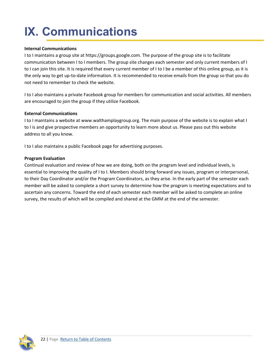# <span id="page-21-0"></span>**IX. Communications**

## **Internal Communications**

I to I maintains a group site at https://groups.google.com. The purpose of the group site is to facilitate communication between I to I members. The group site changes each semester and only current members of I to I can join this site. It is required that every current member of I to I be a member of this online group, as it is the only way to get up-to-date information. It is recommended to receive emails from the group so that you do not need to remember to check the website.

I to I also maintains a private Facebook group for members for communication and social activities. All members are encouraged to join the group if they utilize Facebook.

#### **External Communications**

I to I maintains a website at www.walthamplaygroup.org. The main purpose of the website is to explain what I to I is and give prospective members an opportunity to learn more about us. Please pass out this website address to all you know.

I to I also maintains a public Facebook page for advertising purposes.

#### **Program Evaluation**

Continual evaluation and review of how we are doing, both on the program level and individual levels, is essential to improving the quality of I to I. Members should bring forward any issues, program or interpersonal, to their Day Coordinator and/or the Program Coordinators, as they arise. In the early part of the semester each member will be asked to complete a short survey to determine how the program is meeting expectations and to ascertain any concerns. Toward the end of each semester each member will be asked to complete an online survey, the results of which will be compiled and shared at the GMM at the end of the semester.

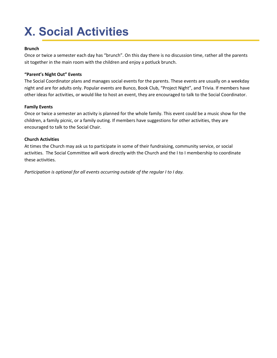# <span id="page-22-0"></span>**X. Social Activities**

### **Brunch**

Once or twice a semester each day has "brunch". On this day there is no discussion time, rather all the parents sit together in the main room with the children and enjoy a potluck brunch.

### **"Parent's Night Out" Events**

The Social Coordinator plans and manages social events for the parents. These events are usually on a weekday night and are for adults only. Popular events are Bunco, Book Club, "Project Night", and Trivia. If members have other ideas for activities, or would like to host an event, they are encouraged to talk to the Social Coordinator.

### **Family Events**

Once or twice a semester an activity is planned for the whole family. This event could be a music show for the children, a family picnic, or a family outing. If members have suggestions for other activities, they are encouraged to talk to the Social Chair.

### **Church Activities**

At times the Church may ask us to participate in some of their fundraising, community service, or social activities. The Social Committee will work directly with the Church and the I to I membership to coordinate these activities.

*Participation is optional for all events occurring outside of the regular I to I day.*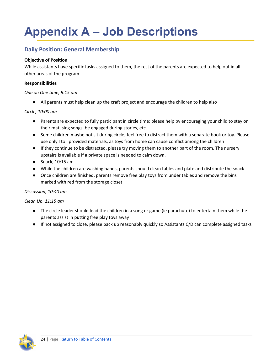# <span id="page-23-0"></span>**Appendix A – Job Descriptions**

# <span id="page-23-1"></span>**Daily Position: General Membership**

## **Objective of Position**

While assistants have specific tasks assigned to them, the rest of the parents are expected to help out in all other areas of the program

## **Responsibilities**

### *One on One time, 9:15 am*

● All parents must help clean up the craft project and encourage the children to help also

## *Circle, 10:00 am*

- Parents are expected to fully participant in circle time; please help by encouraging your child to stay on their mat, sing songs, be engaged during stories, etc.
- Some children maybe not sit during circle; feel free to distract them with a separate book or toy. Please use only I to I provided materials, as toys from home can cause conflict among the children
- If they continue to be distracted, please try moving them to another part of the room. The nursery upstairs is available if a private space is needed to calm down.
- Snack, 10:15 am
- While the children are washing hands, parents should clean tables and plate and distribute the snack
- Once children are finished, parents remove free play toys from under tables and remove the bins marked with red from the storage closet

## *Discussion, 10:40 am*

## *Clean Up, 11:15 am*

- The circle leader should lead the children in a song or game (ie parachute) to entertain them while the parents assist in putting free play toys away
- If not assigned to close, please pack up reasonably quickly so Assistants C/D can complete assigned tasks

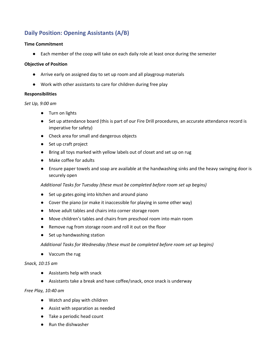# <span id="page-24-0"></span>**Daily Position: Opening Assistants (A/B)**

#### **Time Commitment**

● Each member of the coop will take on each daily role at least once during the semester

#### **Objective of Position**

- Arrive early on assigned day to set up room and all playgroup materials
- Work with other assistants to care for children during free play

#### **Responsibilities**

*Set Up, 9:00 am*

- Turn on lights
- Set up attendance board (this is part of our Fire Drill procedures, an accurate attendance record is imperative for safety)
- Check area for small and dangerous objects
- Set up craft project
- Bring all toys marked with yellow labels out of closet and set up on rug
- Make coffee for adults
- Ensure paper towels and soap are available at the handwashing sinks and the heavy swinging door is securely open

*Additional Tasks for Tuesday (these must be completed before room set up begins)*

- Set up gates going into kitchen and around piano
- Cover the piano (or make it inaccessible for playing in some other way)
- Move adult tables and chairs into corner storage room
- Move children's tables and chairs from preschool room into main room
- Remove rug from storage room and roll it out on the floor
- Set up handwashing station

*Additional Tasks for Wednesday (these must be completed before room set up begins)*

● Vaccum the rug

#### *Snack, 10:15 am*

- Assistants help with snack
- Assistants take a break and have coffee/snack, once snack is underway

#### *Free Play, 10:40 am*

- Watch and play with children
- Assist with separation as needed
- Take a periodic head count
- Run the dishwasher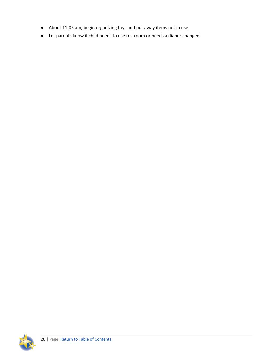- About 11:05 am, begin organizing toys and put away items not in use
- Let parents know if child needs to use restroom or needs a diaper changed

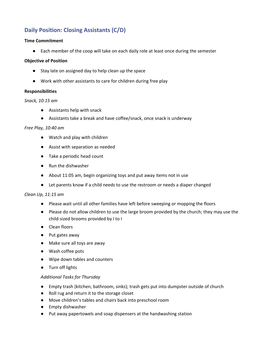# <span id="page-26-0"></span>**Daily Position: Closing Assistants (C/D)**

#### **Time Commitment**

● Each member of the coop will take on each daily role at least once during the semester

#### **Objective of Position**

- Stay late on assigned day to help clean up the space
- Work with other assistants to care for children during free play

#### **Responsibilities**

#### *Snack, 10:15 am*

- Assistants help with snack
- Assistants take a break and have coffee/snack, once snack is underway

#### *Free Play, 10:40 am*

- Watch and play with children
- Assist with separation as needed
- Take a periodic head count
- Run the dishwasher
- About 11:05 am, begin organizing toys and put away items not in use
- Let parents know if a child needs to use the restroom or needs a diaper changed

#### *Clean Up, 11:15 am*

- Please wait until all other families have left before sweeping or mopping the floors
- Please do not allow children to use the large broom provided by the church; they may use the child-sized brooms provided by I to I
- Clean floors
- Put gates away
- Make sure all toys are away
- Wash coffee pots
- Wipe down tables and counters
- Turn off lights

#### *Additional Tasks for Thursday*

- Empty trash (kitchen, bathroom, sinks); trash gets put into dumpster outside of church
- Roll rug and return it to the storage closet
- Move children's tables and chairs back into preschool room
- Empty dishwasher
- Put away papertowels and soap dispensers at the handwashing station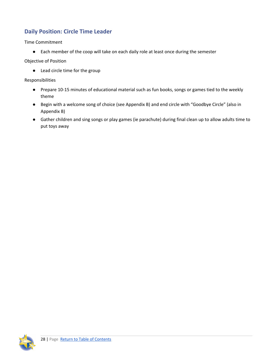# <span id="page-27-0"></span>**Daily Position: Circle Time Leader**

## Time Commitment

● Each member of the coop will take on each daily role at least once during the semester

Objective of Position

● Lead circle time for the group

- Prepare 10-15 minutes of educational material such as fun books, songs or games tied to the weekly theme
- Begin with a welcome song of choice (see Appendix B) and end circle with "Goodbye Circle" (also in Appendix B)
- Gather children and sing songs or play games (ie parachute) during final clean up to allow adults time to put toys away

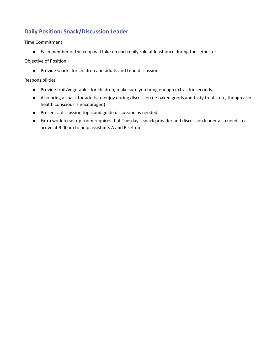# <span id="page-28-0"></span>**Daily Position: Snack/Discussion Leader**

### Time Commitment

● Each member of the coop will take on each daily role at least once during the semester

Objective of Position

● Provide snacks for children and adults and Lead discussion

- Provide fruit/vegetables for children; make sure you bring enough extras for seconds
- Also bring a snack for adults to enjoy during discussion (ie baked goods and tasty treats, etc, though also health conscious is encouraged)
- Present a discussion topic and guide discussion as needed
- Extra work to set up room requires that Tuesday's snack provider and discussion leader also needs to arrive at 9:00am to help assistants A and B set up.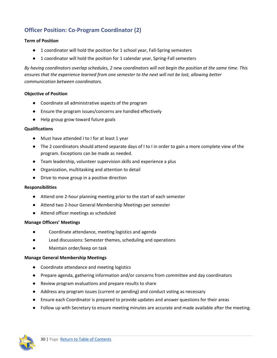# <span id="page-29-0"></span>**Officer Position: Co-Program Coordinator (2)**

## **Term of Position**

- 1 coordinator will hold the position for 1 school year, Fall-Spring semesters
- 1 coordinator will hold the position for 1 calendar year, Spring-Fall semesters

By having coordinators overlap schedules, 2 new coordinators will not begin the position at the same time. This *ensures that the experience learned from one semester to the next will not be lost, allowing better communication between coordinators.*

#### **Objective of Position**

- Coordinate all administrative aspects of the program
- Ensure the program issues/concerns are handled effectively
- Help group grow toward future goals

#### **Qualifications**

- Must have attended I to I for at least 1 year
- The 2 coordinators should attend separate days of I to I in order to gain a more complete view of the program. Exceptions can be made as needed.
- Team leadership, volunteer supervision skills and experience a plus
- Organization, multitasking and attention to detail
- Drive to move group in a positive direction

#### **Responsibilities**

- Attend one 2-hour planning meeting prior to the start of each semester
- Attend two 2-hour General Membership Meetings per semester
- Attend officer meetings as scheduled

#### **Manage Officers' Meetings**

- Coordinate attendance, meeting logistics and agenda
- Lead discussions: Semester themes, scheduling and operations
- Maintain order/keep on task

#### **Manage General Membership Meetings**

- Coordinate attendance and meeting logistics
- Prepare agenda, gathering information and/or concerns from committee and day coordinators
- Review program evaluations and prepare results to share
- Address any program issues (current or pending) and conduct voting as necessary
- Ensure each Coordinator is prepared to provide updates and answer questions for their areas
- Follow up with Secretary to ensure meeting minutes are accurate and made available after the meeting.

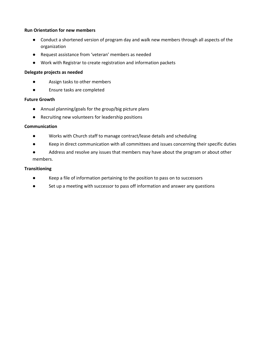#### **Run Orientation for new members**

- Conduct a shortened version of program day and walk new members through all aspects of the organization
- Request assistance from 'veteran' members as needed
- Work with Registrar to create registration and information packets

#### **Delegate projects as needed**

- Assign tasks to other members
- Ensure tasks are completed

#### **Future Growth**

- Annual planning/goals for the group/big picture plans
- Recruiting new volunteers for leadership positions

#### **Communication**

- Works with Church staff to manage contract/lease details and scheduling
- Keep in direct communication with all committees and issues concerning their specific duties
- Address and resolve any issues that members may have about the program or about other members.

- Keep a file of information pertaining to the position to pass on to successors
- <span id="page-30-0"></span>● Set up a meeting with successor to pass off information and answer any questions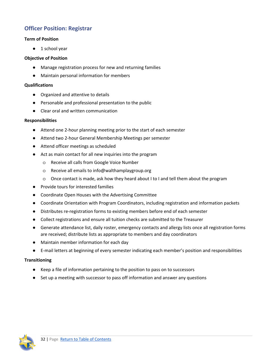# <span id="page-31-0"></span>**Officer Position: Registrar**

### **Term of Position**

● 1 school year

#### **Objective of Position**

- Manage registration process for new and returning families
- Maintain personal information for members

#### **Qualifications**

- Organized and attentive to details
- Personable and professional presentation to the public
- **Clear oral and written communication**

#### **Responsibilities**

- Attend one 2-hour planning meeting prior to the start of each semester
- Attend two 2-hour General Membership Meetings per semester
- Attend officer meetings as scheduled
- Act as main contact for all new inquiries into the program
	- o Receive all calls from Google Voice Number
	- o Receive all emails to info@walthamplaygroup.org
	- o Once contact is made, ask how they heard about I to I and tell them about the program
- Provide tours for interested families
- Coordinate Open Houses with the Advertising Committee
- Coordinate Orientation with Program Coordinators, including registration and information packets
- Distributes re-registration forms to existing members before end of each semester
- Collect registrations and ensure all tuition checks are submitted to the Treasurer
- Generate attendance list, daily roster, emergency contacts and allergy lists once all registration forms are received; distribute lists as appropriate to members and day coordinators
- Maintain member information for each day
- E-mail letters at beginning of every semester indicating each member's position and responsibilities

- Keep a file of information pertaining to the position to pass on to successors
- Set up a meeting with successor to pass off information and answer any questions

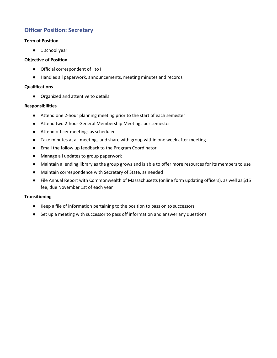# <span id="page-32-0"></span>**Officer Position: Secretary**

### **Term of Position**

● 1 school year

#### **Objective of Position**

- Official correspondent of I to I
- Handles all paperwork, announcements, meeting minutes and records

#### **Qualifications**

● Organized and attentive to details

#### **Responsibilities**

- Attend one 2-hour planning meeting prior to the start of each semester
- Attend two 2-hour General Membership Meetings per semester
- Attend officer meetings as scheduled
- Take minutes at all meetings and share with group within one week after meeting
- Email the follow up feedback to the Program Coordinator
- Manage all updates to group paperwork
- Maintain a lending library as the group grows and is able to offer more resources for its members to use
- Maintain correspondence with Secretary of State, as needed
- File Annual Report with Commonwealth of Massachusetts (online form updating officers), as well as \$15 fee, due November 1st of each year

- Keep a file of information pertaining to the position to pass on to successors
- Set up a meeting with successor to pass off information and answer any questions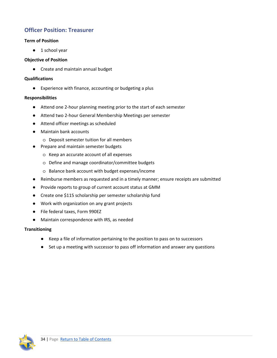# <span id="page-33-0"></span>**Officer Position: Treasurer**

## **Term of Position**

● 1 school year

### **Objective of Position**

● Create and maintain annual budget

### **Qualifications**

● Experience with finance, accounting or budgeting a plus

### **Responsibilities**

- Attend one 2-hour planning meeting prior to the start of each semester
- Attend two 2-hour General Membership Meetings per semester
- Attend officer meetings as scheduled
- Maintain bank accounts
	- o Deposit semester tuition for all members
- Prepare and maintain semester budgets
	- o Keep an accurate account of all expenses
	- o Define and manage coordinator/committee budgets
	- o Balance bank account with budget expenses/income
- Reimburse members as requested and in a timely manner; ensure receipts are submitted
- Provide reports to group of current account status at GMM
- Create one \$115 scholarship per semester scholarship fund
- Work with organization on any grant projects
- File federal taxes, Form 990EZ
- Maintain correspondence with IRS, as needed

- Keep a file of information pertaining to the position to pass on to successors
- Set up a meeting with successor to pass off information and answer any questions

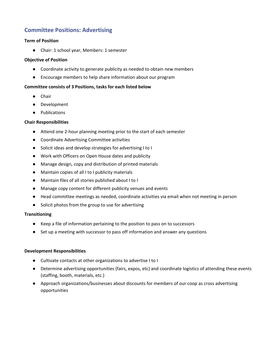# <span id="page-34-0"></span>**Committee Positions: Advertising**

#### **Term of Position**

● Chair: 1 school year, Members: 1 semester

#### **Objective of Position**

- Coordinate activity to generate publicity as needed to obtain new members
- Encourage members to help share information about our program

#### **Committee consists of 3 Positions, tasks for each listed below**

- Chair
- Development
- Publications

### **Chair Responsibilities**

- Attend one 2-hour planning meeting prior to the start of each semester
- Coordinate Advertising Committee activities
- Solicit ideas and develop strategies for advertising I to I
- Work with Officers on Open House dates and publicity
- Manage design, copy and distribution of printed materials
- Maintain copies of all I to I publicity materials
- Maintain files of all stories published about I to I
- Manage copy content for different publicity venues and events
- Head committee meetings as needed, coordinate activities via email when not meeting in person
- Solicit photos from the group to use for advertising

#### **Transitioning**

- Keep a file of information pertaining to the position to pass on to successors
- Set up a meeting with successor to pass off information and answer any questions

#### **Development Responsibilities**

- Cultivate contacts at other organizations to advertise I to I
- Determine advertising opportunities (fairs, expos, etc) and coordinate logistics of attending these events (staffing, booth, materials, etc.)
- Approach organizations/businesses about discounts for members of our coop as cross advertising opportunities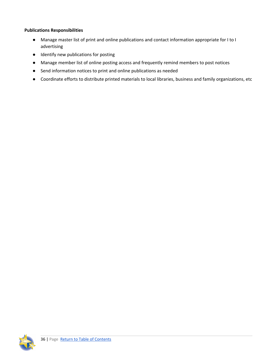## **Publications Responsibilities**

- Manage master list of print and online publications and contact information appropriate for I to I advertising
- Identify new publications for posting
- Manage member list of online posting access and frequently remind members to post notices
- Send information notices to print and online publications as needed
- <span id="page-35-0"></span>● Coordinate efforts to distribute printed materials to local libraries, business and family organizations, etc

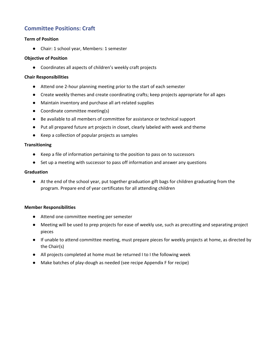# <span id="page-36-0"></span>**Committee Positions: Craft**

#### **Term of Position**

● Chair: 1 school year, Members: 1 semester

#### **Objective of Position**

● Coordinates all aspects of children's weekly craft projects

#### **Chair Responsibilities**

- Attend one 2-hour planning meeting prior to the start of each semester
- Create weekly themes and create coordinating crafts; keep projects appropriate for all ages
- Maintain inventory and purchase all art-related supplies
- Coordinate committee meeting(s)
- Be available to all members of committee for assistance or technical support
- Put all prepared future art projects in closet, clearly labeled with week and theme
- Keep a collection of popular projects as samples

#### **Transitioning**

- Keep a file of information pertaining to the position to pass on to successors
- Set up a meeting with successor to pass off information and answer any questions

#### **Graduation**

● At the end of the school year, put together graduation gift bags for children graduating from the program. Prepare end of year certificates for all attending children

#### **Member Responsibilities**

- Attend one committee meeting per semester
- Meeting will be used to prep projects for ease of weekly use, such as precutting and separating project pieces
- If unable to attend committee meeting, must prepare pieces for weekly projects at home, as directed by the Chair(s)
- All projects completed at home must be returned I to I the following week
- Make batches of play-dough as needed (see recipe Appendix F for recipe)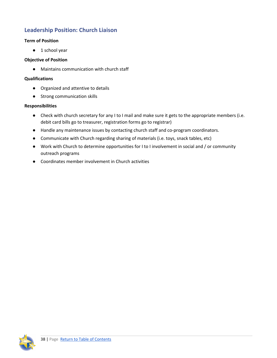# <span id="page-37-0"></span>**Leadership Position: Church Liaison**

## **Term of Position**

● 1 school year

### **Objective of Position**

● Maintains communication with church staff

## **Qualifications**

- Organized and attentive to details
- Strong communication skills

- Check with church secretary for any I to I mail and make sure it gets to the appropriate members (i.e. debit card bills go to treasurer, registration forms go to registrar)
- Handle any maintenance issues by contacting church staff and co-program coordinators.
- Communicate with Church regarding sharing of materials (i.e. toys, snack tables, etc)
- Work with Church to determine opportunities for I to I involvement in social and / or community outreach programs
- Coordinates member involvement in Church activities

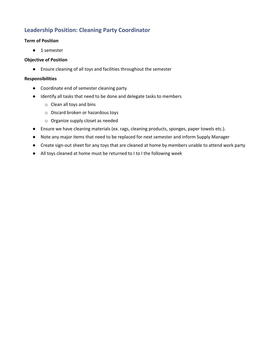# <span id="page-38-0"></span>**Leadership Position: Cleaning Party Coordinator**

### **Term of Position**

● 1 semester

#### **Objective of Position**

● Ensure cleaning of all toys and facilities throughout the semester

- Coordinate end of semester cleaning party
- Identify all tasks that need to be done and delegate tasks to members
	- o Clean all toys and bins
	- o Discard broken or hazardous toys
	- o Organize supply closet as needed
- Ensure we have cleaning materials (ex. rags, cleaning products, sponges, paper towels etc.).
- Note any major items that need to be replaced for next semester and inform Supply Manager
- Create sign-out sheet for any toys that are cleaned at home by members unable to attend work party
- All toys cleaned at home must be returned to I to I the following week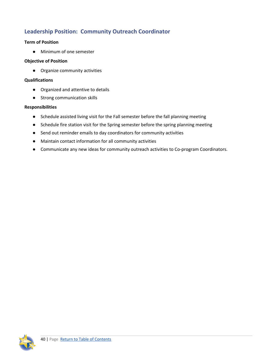# <span id="page-39-0"></span>**Leadership Position: Community Outreach Coordinator**

### **Term of Position**

● Minimum of one semester

#### **Objective of Position**

● Organize community activities

### **Qualifications**

- Organized and attentive to details
- Strong communication skills

- Schedule assisted living visit for the Fall semester before the fall planning meeting
- Schedule fire station visit for the Spring semester before the spring planning meeting
- Send out reminder emails to day coordinators for community activities
- Maintain contact information for all community activities
- Communicate any new ideas for community outreach activities to Co-program Coordinators.

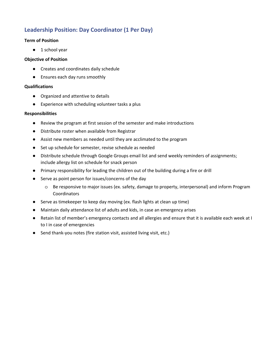# <span id="page-40-0"></span>**Leadership Position: Day Coordinator (1 Per Day)**

### **Term of Position**

● 1 school year

#### **Objective of Position**

- Creates and coordinates daily schedule
- Ensures each day runs smoothly

#### **Qualifications**

- Organized and attentive to details
- Experience with scheduling volunteer tasks a plus

- Review the program at first session of the semester and make introductions
- Distribute roster when available from Registrar
- Assist new members as needed until they are acclimated to the program
- Set up schedule for semester, revise schedule as needed
- Distribute schedule through Google Groups email list and send weekly reminders of assignments; include allergy list on schedule for snack person
- Primary responsibility for leading the children out of the building during a fire or drill
- Serve as point person for issues/concerns of the day
	- o Be responsive to major issues (ex. safety, damage to property, interpersonal) and inform Program Coordinators
- Serve as timekeeper to keep day moving (ex. flash lights at clean up time)
- Maintain daily attendance list of adults and kids, in case an emergency arises
- Retain list of member's emergency contacts and all allergies and ensure that it is available each week at I to I in case of emergencies
- Send thank-you notes (fire station visit, assisted living visit, etc.)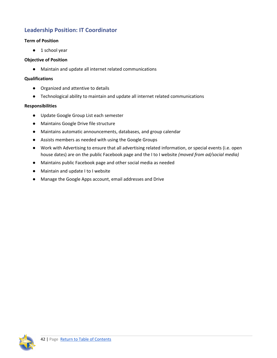# <span id="page-41-0"></span>**Leadership Position: IT Coordinator**

## **Term of Position**

● 1 school year

## **Objective of Position**

● Maintain and update all internet related communications

## **Qualifications**

- Organized and attentive to details
- Technological ability to maintain and update all internet related communications

- Update Google Group List each semester
- Maintains Google Drive file structure
- Maintains automatic announcements, databases, and group calendar
- Assists members as needed with using the Google Groups
- Work with Advertising to ensure that all advertising related information, or special events (i.e. open house dates) are on the public Facebook page and the I to I website *(moved from ad/social media)*
- Maintains public Facebook page and other social media as needed
- Maintain and update I to I website
- Manage the Google Apps account, email addresses and Drive

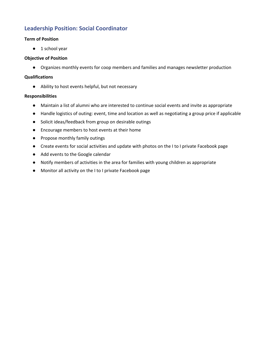# <span id="page-42-0"></span>**Leadership Position: Social Coordinator**

### **Term of Position**

● 1 school year

#### **Objective of Position**

● Organizes monthly events for coop members and families and manages newsletter production

#### **Qualifications**

● Ability to host events helpful, but not necessary

- Maintain a list of alumni who are interested to continue social events and invite as appropriate
- Handle logistics of outing: event, time and location as well as negotiating a group price if applicable
- Solicit ideas/feedback from group on desirable outings
- Encourage members to host events at their home
- Propose monthly family outings
- Create events for social activities and update with photos on the I to I private Facebook page
- Add events to the Google calendar
- Notify members of activities in the area for families with young children as appropriate
- Monitor all activity on the I to I private Facebook page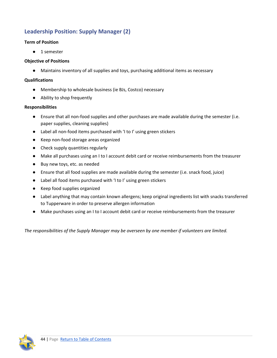# <span id="page-43-0"></span>**Leadership Position: Supply Manager (2)**

## **Term of Position**

● 1 semester

## **Objective of Positions**

● Maintains inventory of all supplies and toys, purchasing additional items as necessary

## **Qualifications**

- Membership to wholesale business (ie BJs, Costco) necessary
- Ability to shop frequently

## **Responsibilities**

- Ensure that all non-food supplies and other purchases are made available during the semester (i.e. paper supplies, cleaning supplies)
- Label all non-food items purchased with 'I to I' using green stickers
- Keep non-food storage areas organized
- Check supply quantities regularly
- Make all purchases using an I to I account debit card or receive reimbursements from the treasurer
- Buy new toys, etc. as needed
- Ensure that all food supplies are made available during the semester (i.e. snack food, juice)
- Label all food items purchased with 'I to I' using green stickers
- Keep food supplies organized
- Label anything that may contain known allergens; keep original ingredients list with snacks transferred to Tupperware in order to preserve allergen information
- Make purchases using an I to I account debit card or receive reimbursements from the treasurer

*The responsibilities of the Supply Manager may be overseen by one member if volunteers are limited.*

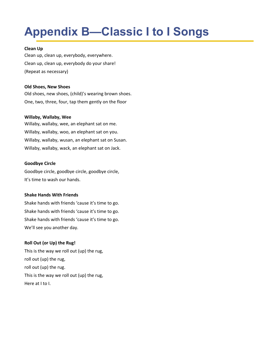# <span id="page-44-0"></span>**Appendix B***—***Classic I to I Songs**

### **Clean Up**

Clean up, clean up, everybody, everywhere. Clean up, clean up, everybody do your share! (Repeat as necessary)

#### **Old Shoes, New Shoes**

Old shoes, new shoes, (child)'s wearing brown shoes. One, two, three, four, tap them gently on the floor

#### **Willaby, Wallaby, Wee**

Willaby, wallaby, wee, an elephant sat on me. Willaby, wallaby, woo, an elephant sat on you. Willaby, wallaby, wusan, an elephant sat on Susan. Willaby, wallaby, wack, an elephant sat on Jack.

### **Goodbye Circle**

Goodbye circle, goodbye circle, goodbye circle, It's time to wash our hands.

#### **Shake Hands With Friends**

Shake hands with friends 'cause it's time to go. Shake hands with friends 'cause it's time to go. Shake hands with friends 'cause it's time to go. We'll see you another day.

## **Roll Out (or Up) the Rug!**

This is the way we roll out (up) the rug, roll out (up) the rug, roll out (up) the rug. This is the way we roll out (up) the rug, Here at I to I.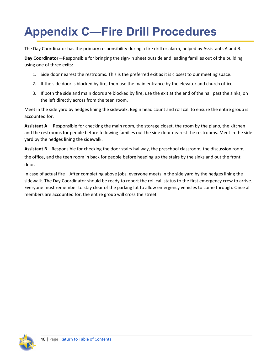# <span id="page-45-0"></span>**Appendix C***—***Fire Drill Procedures**

The Day Coordinator has the primary responsibility during a fire drill or alarm, helped by Assistants A and B.

**Day Coordinator**—Responsible for bringing the sign-in sheet outside and leading families out of the building using one of three exits:

- 1. Side door nearest the restrooms. This is the preferred exit as it is closest to our meeting space.
- 2. If the side door is blocked by fire, then use the main entrance by the elevator and church office.
- 3. If both the side and main doors are blocked by fire, use the exit at the end of the hall past the sinks, on the left directly across from the teen room.

Meet in the side yard by hedges lining the sidewalk. Begin head count and roll call to ensure the entire group is accounted for.

**Assistant A**— Responsible for checking the main room, the storage closet, the room by the piano, the kitchen and the restrooms for people before following families out the side door nearest the restrooms. Meet in the side yard by the hedges lining the sidewalk.

**Assistant B**—Responsible for checking the door stairs hallway, the preschool classroom, the discussion room, the office, and the teen room in back for people before heading up the stairs by the sinks and out the front door.

In case of actual fire—After completing above jobs, everyone meets in the side yard by the hedges lining the sidewalk. The Day Coordinator should be ready to report the roll call status to the first emergency crew to arrive. Everyone must remember to stay clear of the parking lot to allow emergency vehicles to come through. Once all members are accounted for, the entire group will cross the street.

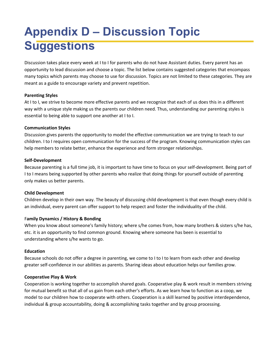# <span id="page-46-0"></span>**Appendix D – Discussion Topic Suggestions**

Discussion takes place every week at I to I for parents who do not have Assistant duties. Every parent has an opportunity to lead discussion and choose a topic. The list below contains suggested categories that encompass many topics which parents may choose to use for discussion. Topics are not limited to these categories. They are meant as a guide to encourage variety and prevent repetition.

#### **Parenting Styles**

At I to I, we strive to become more effective parents and we recognize that each of us does this in a different way with a unique style making us the parents our children need. Thus, understanding our parenting styles is essential to being able to support one another at I to I.

#### **Communication Styles**

Discussion gives parents the opportunity to model the effective communication we are trying to teach to our children. I to I requires open communication for the success of the program. Knowing communication styles can help members to relate better, enhance the experience and form stronger relationships.

### **Self-Development**

Because parenting is a full time job, it is important to have time to focus on your self-development. Being part of I to I means being supported by other parents who realize that doing things for yourself outside of parenting only makes us better parents.

## **Child Development**

Children develop in their own way. The beauty of discussing child development is that even though every child is an individual, every parent can offer support to help respect and foster the individuality of the child.

## F**amily Dynamics / History & Bonding**

When you know about someone's family history; where s/he comes from, how many brothers & sisters s/he has, etc. it is an opportunity to find common ground. Knowing where someone has been is essential to understanding where s/he wants to go.

#### **Education**

Because schools do not offer a degree in parenting, we come to I to I to learn from each other and develop greater self-confidence in our abilities as parents. Sharing ideas about education helps our families grow.

## **Cooperative Play & Work**

Cooperation is working together to accomplish shared goals. Cooperative play & work result in members striving for mutual benefit so that all of us gain from each other's efforts. As we learn how to function as a coop, we model to our children how to cooperate with others. Cooperation is a skill learned by positive interdependence, individual & group accountability, doing & accomplishing tasks together and by group processing.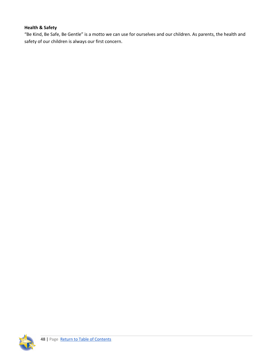## **Health & Safety**

"Be Kind, Be Safe, Be Gentle" is a motto we can use for ourselves and our children. As parents, the health and safety of our children is always our first concern.

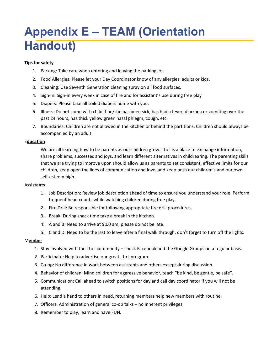# <span id="page-48-0"></span>**Appendix E – TEAM (Orientation Handout)**

### **Tips for safety**

- 1. Parking: Take care when entering and leaving the parking lot.
- 2. Food Allergies: Please let your Day Coordinator know of any allergies, adults or kids.
- 3. Cleaning: Use Seventh Generation cleaning spray on all food surfaces.
- 4. Sign-in: Sign-in every week in case of fire and for assistant's use during free play
- 5. Diapers: Please take all soiled diapers home with you.
- 6. Illness: Do not come with child if he/she has been sick, has had a fever, diarrhea or vomiting over the past 24 hours, has thick yellow green nasal phlegm, cough, etc.
- 7. Boundaries: Children are not allowed in the kitchen or behind the partitions. Children should always be accompanied by an adult.

#### E**ducation**

We are all learning how to be parents as our children grow. I to I is a place to exchange information, share problems, successes and joys, and learn different alternatives in childrearing. The parenting skills that we are trying to improve upon should allow us as parents to set consistent, effective limits for our children, keep open the lines of communication and love, and keep both our children's and our own self-esteem high.

#### A**ssistants**

- 1. Job Description: Review job description ahead of time to ensure you understand your role. Perform frequent head counts while watching children during free play.
- 2. Fire Drill: Be responsible for following appropriate fire drill procedures.
- 3. Break: During snack time take a break in the kitchen.
- 4. A and B: Need to arrive at 9:00 am, please do not be late.
- 5. C and D: Need to be the last to leave after a final walk through, don't forget to turn off the lights.

#### M**ember**

- 1. Stay involved with the I to I community check Facebook and the Google Groups on a regular basis.
- 2. Participate: Help to advertise our great I to I program.
- 3. Co-op: No difference in work between assistants and others except during discussion.
- 4. Behavior of children: Mind children for aggressive behavior, teach "be kind, be gentle, be safe".
- 5. Communication: Call ahead to switch positions for day and call day coordinator if you will not be attending.
- 6. Help: Lend a hand to others in need, returning members help new members with routine.
- 7. Officers: Administration of general co-op talks no inherent privileges.
- 8. Remember to play, learn and have FUN.